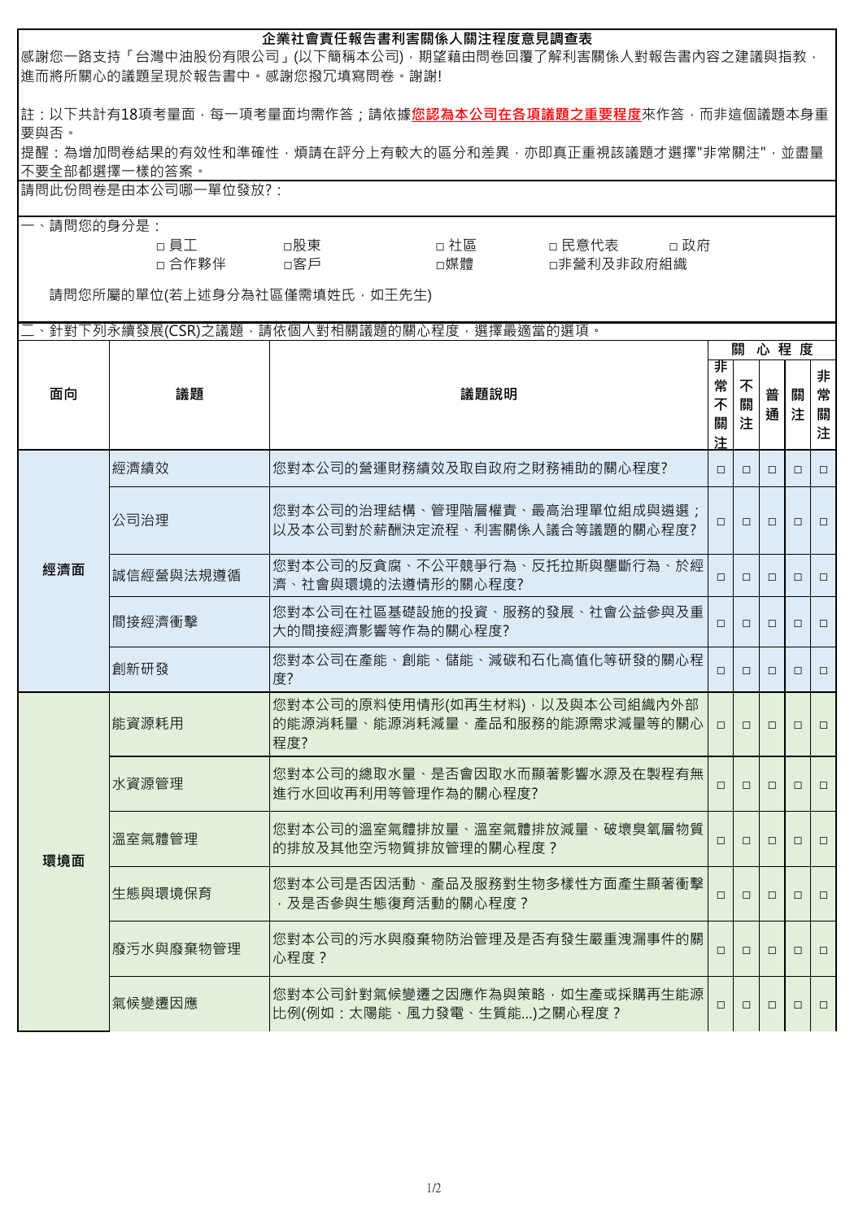| 企業社會責任報告書利害關係人關注程度意見調查表<br> 感謝您一路支持「台灣中油股份有限公司」(以下簡稱本公司),期望藉由問卷回覆了解利害關係人對報告書內容之建議與指教,<br> 進而將所關心的議題呈現於報告書中。感謝您撥冗填寫問卷。謝謝! |               |                                                                                                                                         |                  |               |        |        |                  |  |  |
|--------------------------------------------------------------------------------------------------------------------------|---------------|-----------------------------------------------------------------------------------------------------------------------------------------|------------------|---------------|--------|--------|------------------|--|--|
| 要與否。                                                                                                                     | 不要全部都選擇一樣的答案。 | 註:以下共計有18項考量面,每一項考量面均需作答;請依據 <u>您<b>認為本公司在各項議題之重要程度</b>來作答,而非這</u> 個議題本身重<br> 提醒:為增加問卷結果的有效性和準確性,煩請在評分上有較大的區分和差異,亦即真正重視該議題才選擇"非常關注",並盡量 |                  |               |        |        |                  |  |  |
| 請問此份問卷是由本公司哪一單位發放?:                                                                                                      |               |                                                                                                                                         |                  |               |        |        |                  |  |  |
| 請問您的身分是:<br>□ 社區 しんじょう<br>□員工<br>□ 民意代表    □ 政府<br>□媒體<br>□ 合作夥伴 → □客戶<br>□非營利及非政府組織<br>請問您所屬的單位(若上述身分為社區僅需填姓氏, 如王先生)    |               |                                                                                                                                         |                  |               |        |        |                  |  |  |
|                                                                                                                          |               | 二、針對下列永續發展(CSR)之議題,請依個人對相關議題的關心程度,選擇最適當的選項。                                                                                             |                  |               |        |        |                  |  |  |
|                                                                                                                          |               |                                                                                                                                         |                  | 心程度<br>關<br>非 |        |        |                  |  |  |
| 面向<br>議題                                                                                                                 |               | 議題說明                                                                                                                                    | 常<br>不<br>關<br>注 | 不<br>關<br>注   | 普<br>通 | 關<br>注 | 非<br>常<br>關<br>注 |  |  |
|                                                                                                                          | 經濟績效          | 您對本公司的營運財務績效及取自政府之財務補助的關心程度?                                                                                                            | $\Box$           | $\Box$        | $\Box$ | $\Box$ | $\Box$           |  |  |
| 經濟面                                                                                                                      | 公司治理          | 您對本公司的治理結構、管理階層權責、最高治理單位組成與遴選;<br>以及本公司對於薪酬決定流程、利害關係人議合等議題的關心程度?                                                                        | $\Box$           | $\Box$        | $\Box$ | $\Box$ | $\Box$           |  |  |
|                                                                                                                          | 誠信經營與法規遵循     | 您對本公司的反貪腐、不公平競爭行為、反托拉斯與壟斷行為、於經<br>濟、社會與環境的法遵情形的關心程度?                                                                                    | $\Box$           | □             | $\Box$ | $\Box$ | $\Box$           |  |  |
|                                                                                                                          | 間接經濟衝擊        | 您對本公司在社區基礎設施的投資、服務的發展、社會公益參與及重<br>大的間接經濟影響等作為的關心程度?                                                                                     | $\Box$           | $\Box$        | $\Box$ | $\Box$ | $\Box$           |  |  |
|                                                                                                                          | 創新研發          | 您對本公司在產能、創能、儲能、減碳和石化高值化等研發的關心程<br>度?                                                                                                    | $\Box$           | $\Box$        | $\Box$ | $\Box$ | $\Box$           |  |  |
| 環境面                                                                                                                      | 能資源耗用         | 您對本公司的原料使用情形(如再生材料),以及與本公司組織內外部 <br>的能源消耗量、能源消耗減量、產品和服務的能源需求減量等的關心<br>程度?                                                               | $\Box$           | $\Box$        | $\Box$ | $\Box$ | $\Box$           |  |  |
|                                                                                                                          | 水資源管理         | 您對本公司的總取水量、是否會因取水而顯著影響水源及在製程有無<br>進行水回收再利用等管理作為的關心程度?                                                                                   | $\Box$           | $\Box$        | $\Box$ | $\Box$ | $\Box$           |  |  |
|                                                                                                                          | 溫室氣體管理        | 您對本公司的溫室氣體排放量、溫室氣體排放減量、破壞臭氧層物質<br>的排放及其他空污物質排放管理的關心程度?                                                                                  | $\Box$           | $\Box$        | $\Box$ | $\Box$ | $\Box$           |  |  |
|                                                                                                                          | 生態與環境保育       | 您對本公司是否因活動、產品及服務對生物多樣性方面產生顯著衝擊<br>,及是否參與生態復育活動的關心程度?                                                                                    | $\Box$           | $\Box$        | $\Box$ | $\Box$ | $\Box$           |  |  |
|                                                                                                                          | 廢污水與廢棄物管理     | 您對本公司的污水與廢棄物防治管理及是否有發生嚴重洩漏事件的關 <br>心程度?                                                                                                 | □                | $\Box$        | $\Box$ | $\Box$ | $\Box$           |  |  |
|                                                                                                                          | 氣候變遷因應        | 您對本公司針對氣候變遷之因應作為與策略,如生產或採購再生能源 <br>比例(例如:太陽能、風力發電、生質能)之關心程度?                                                                            | $\Box$           | $\Box$        | $\Box$ | $\Box$ | $\Box$           |  |  |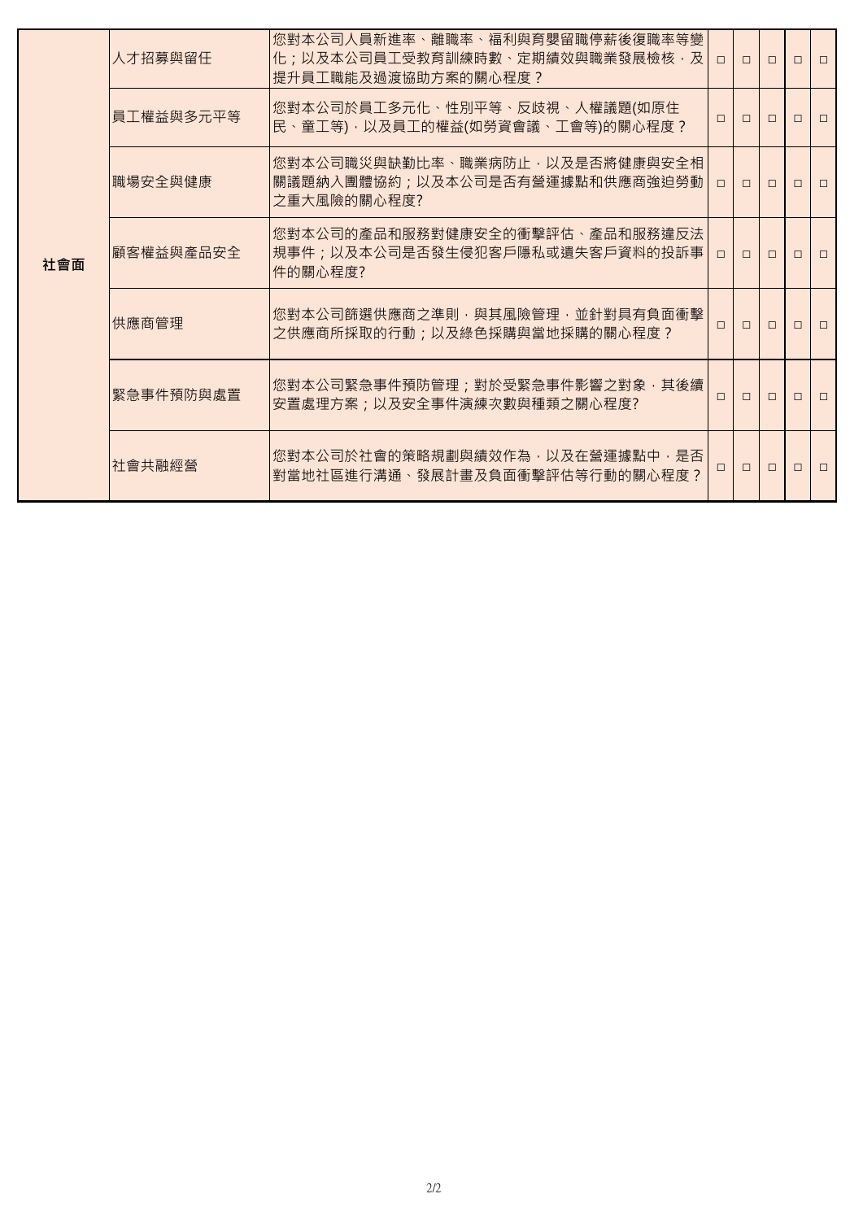| 社會面 | 人才招募與留仟   | 您對本公司人員新進率、離職率、福利與育嬰留職停薪後復職率等變<br>化;以及本公司員工受教育訓練時數、定期績效與職業發展檢核,及 <br>提升員工職能及過渡協助方案的關心程度? | $\Box$ | $\Box$ | $\Box$ | $\Box$ | $\Box$ |
|-----|-----------|------------------------------------------------------------------------------------------|--------|--------|--------|--------|--------|
|     | 員工權益與多元平等 | 您對本公司於員工多元化、性別平等、反歧視、人權議題(如原住<br>民、童工等),以及員工的權益(如勞資會議、工會等)的關心程度?                         | $\Box$ | $\Box$ | $\Box$ | $\Box$ | $\Box$ |
|     | 職場安全與健康   | 您對本公司職災與缺勤比率、職業病防止,以及是否將健康與安全相<br>關議題納入團體協約;以及本公司是否有營運據點和供應商強迫勞動  <br>之重大風險的關心程度?        | $\Box$ | $\Box$ | $\Box$ | $\Box$ | $\Box$ |
|     | 顧客權益與產品安全 | 您對本公司的產品和服務對健康安全的衝擊評估、產品和服務違反法<br>規事件;以及本公司是否發生侵犯客戶隱私或遺失客戶資料的投訴事  <br>件的關心程度?            | $\Box$ | $\Box$ | $\Box$ | $\Box$ | $\Box$ |
|     | 供應商管理     | 您對本公司篩選供應商之準則,與其風險管理,並針對具有負面衝擊<br>之供應商所採取的行動;以及綠色採購與當地採購的關心程度?                           | 0      | $\Box$ | $\Box$ | $\Box$ | $\Box$ |
|     | 緊急事件預防與處置 | 您對本公司緊急事件預防管理;對於受緊急事件影響之對象,其後續<br>安置處理方案;以及安全事件演練次數與種類之關心程度?                             | $\Box$ | $\Box$ | $\Box$ | $\Box$ | $\Box$ |
|     | 社會共融經營    | 您對本公司於社會的策略規劃與績效作為,以及在營運據點中,是否<br>對當地社區進行溝通、發展計畫及負面衝擊評估等行動的關心程度?                         | $\Box$ | $\Box$ | $\Box$ | $\Box$ | $\Box$ |